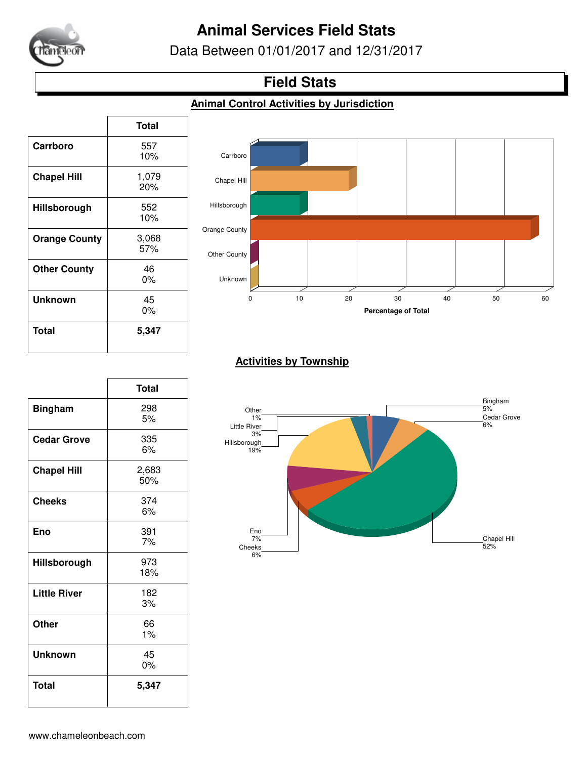

# **Animal Services Field Stats**

Data Between 01/01/2017 and 12/31/2017

### **Field Stats**

#### **Animal Control Activities by Jurisdiction**

|                      | <b>Total</b> |
|----------------------|--------------|
| Carrboro             | 557<br>10%   |
| <b>Chapel Hill</b>   | 1,079<br>20% |
| Hillsborough         | 552<br>10%   |
| <b>Orange County</b> | 3,068<br>57% |
| <b>Other County</b>  | 46<br>$0\%$  |
| <b>Unknown</b>       | 45<br>0%     |
| <b>Total</b>         | 5,347        |

 $\Gamma$ 



#### **Activities by Township**

|                     | <b>Total</b> |
|---------------------|--------------|
| <b>Bingham</b>      | 298<br>5%    |
| <b>Cedar Grove</b>  | 335<br>6%    |
| <b>Chapel Hill</b>  | 2,683<br>50% |
| <b>Cheeks</b>       | 374<br>6%    |
| Eno                 | 391<br>7%    |
| Hillsborough        | 973<br>18%   |
| <b>Little River</b> | 182<br>3%    |
| <b>Other</b>        | 66<br>1%     |
| <b>Unknown</b>      | 45<br>0%     |
| <b>Total</b>        | 5,347        |

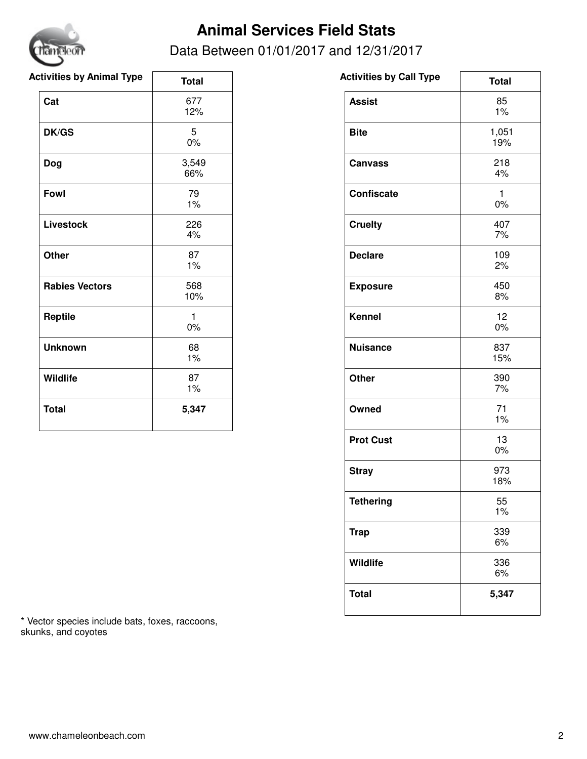

# **Animal Services Field Stats**

Data Between 01/01/2017 and 12/31/2017

| <b>Activities by Animal Type</b> | <b>Total</b> | <b>Activities by Call Type</b> |
|----------------------------------|--------------|--------------------------------|
| Cat                              | 677<br>12%   | <b>Assist</b>                  |
| <b>DK/GS</b>                     | 5<br>$0\%$   | <b>Bite</b>                    |
| <b>Dog</b>                       | 3,549<br>66% | <b>Canvass</b>                 |
| Fowl                             | 79<br>1%     | Confiscate                     |
| <b>Livestock</b>                 | 226<br>4%    | <b>Cruelty</b>                 |
| <b>Other</b>                     | 87<br>1%     | <b>Declare</b>                 |
| <b>Rabies Vectors</b>            | 568<br>10%   | <b>Exposure</b>                |
| Reptile                          | 1<br>$0\%$   | <b>Kennel</b>                  |
| <b>Unknown</b>                   | 68<br>$1\%$  | <b>Nuisance</b>                |
| Wildlife                         | 87<br>1%     | <b>Other</b>                   |
| <b>Total</b>                     | 5,347        | Owned                          |
|                                  |              |                                |

| <b>Activities by Call Type</b> | <b>Total</b> |
|--------------------------------|--------------|
| <b>Assist</b>                  | 85<br>1%     |
| <b>Bite</b>                    | 1,051<br>19% |
| <b>Canvass</b>                 | 218<br>4%    |
| <b>Confiscate</b>              | 1<br>0%      |
| <b>Cruelty</b>                 | 407<br>7%    |
| <b>Declare</b>                 | 109<br>2%    |
| <b>Exposure</b>                | 450<br>8%    |
| <b>Kennel</b>                  | 12<br>0%     |
| <b>Nuisance</b>                | 837<br>15%   |
| <b>Other</b>                   | 390<br>7%    |
| Owned                          | 71<br>1%     |
| <b>Prot Cust</b>               | 13<br>0%     |
| <b>Stray</b>                   | 973<br>18%   |
| <b>Tethering</b>               | 55<br>1%     |
| <b>Trap</b>                    | 339<br>6%    |
| Wildlife                       | 336<br>6%    |
| <b>Total</b>                   | 5,347        |

\* Vector species include bats, foxes, raccoons, skunks, and coyotes